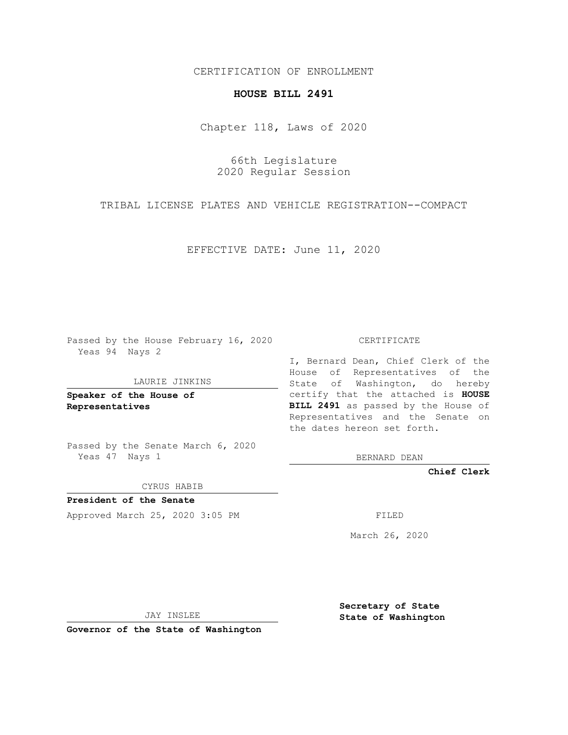CERTIFICATION OF ENROLLMENT

## **HOUSE BILL 2491**

Chapter 118, Laws of 2020

66th Legislature 2020 Regular Session

TRIBAL LICENSE PLATES AND VEHICLE REGISTRATION--COMPACT

EFFECTIVE DATE: June 11, 2020

Passed by the House February 16, 2020 Yeas 94 Nays 2

LAURIE JINKINS

**Speaker of the House of Representatives**

Passed by the Senate March 6, 2020 Yeas 47 Nays 1

CYRUS HABIB

**President of the Senate** Approved March 25, 2020 3:05 PM FILED

CERTIFICATE

I, Bernard Dean, Chief Clerk of the House of Representatives of the State of Washington, do hereby certify that the attached is **HOUSE BILL 2491** as passed by the House of Representatives and the Senate on the dates hereon set forth.

BERNARD DEAN

**Chief Clerk**

March 26, 2020

JAY INSLEE

**Governor of the State of Washington**

**Secretary of State State of Washington**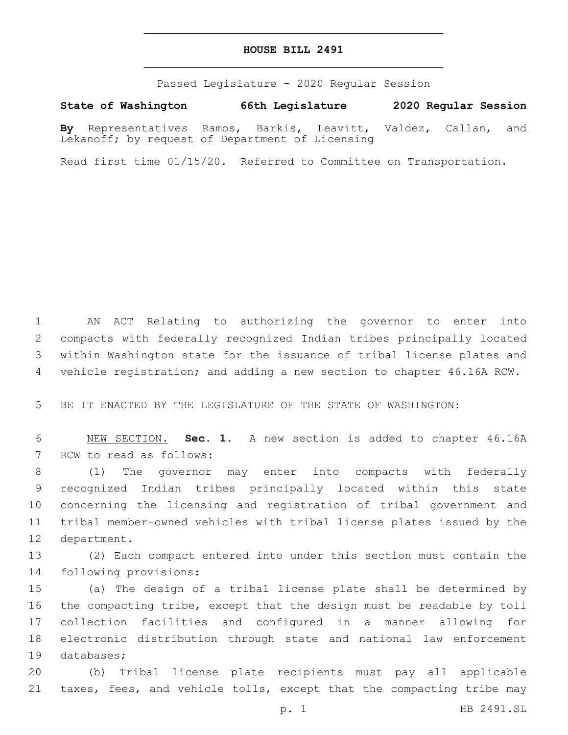## **HOUSE BILL 2491**

Passed Legislature - 2020 Regular Session

**State of Washington 66th Legislature 2020 Regular Session**

**By** Representatives Ramos, Barkis, Leavitt, Valdez, Callan, and Lekanoff; by request of Department of Licensing

Read first time 01/15/20. Referred to Committee on Transportation.

 AN ACT Relating to authorizing the governor to enter into compacts with federally recognized Indian tribes principally located within Washington state for the issuance of tribal license plates and vehicle registration; and adding a new section to chapter 46.16A RCW.

BE IT ENACTED BY THE LEGISLATURE OF THE STATE OF WASHINGTON:

 NEW SECTION. **Sec. 1.** A new section is added to chapter 46.16A 7 RCW to read as follows:

 (1) The governor may enter into compacts with federally recognized Indian tribes principally located within this state concerning the licensing and registration of tribal government and tribal member-owned vehicles with tribal license plates issued by the 12 department.

 (2) Each compact entered into under this section must contain the 14 following provisions:

 (a) The design of a tribal license plate shall be determined by the compacting tribe, except that the design must be readable by toll collection facilities and configured in a manner allowing for electronic distribution through state and national law enforcement 19 databases;

 (b) Tribal license plate recipients must pay all applicable taxes, fees, and vehicle tolls, except that the compacting tribe may